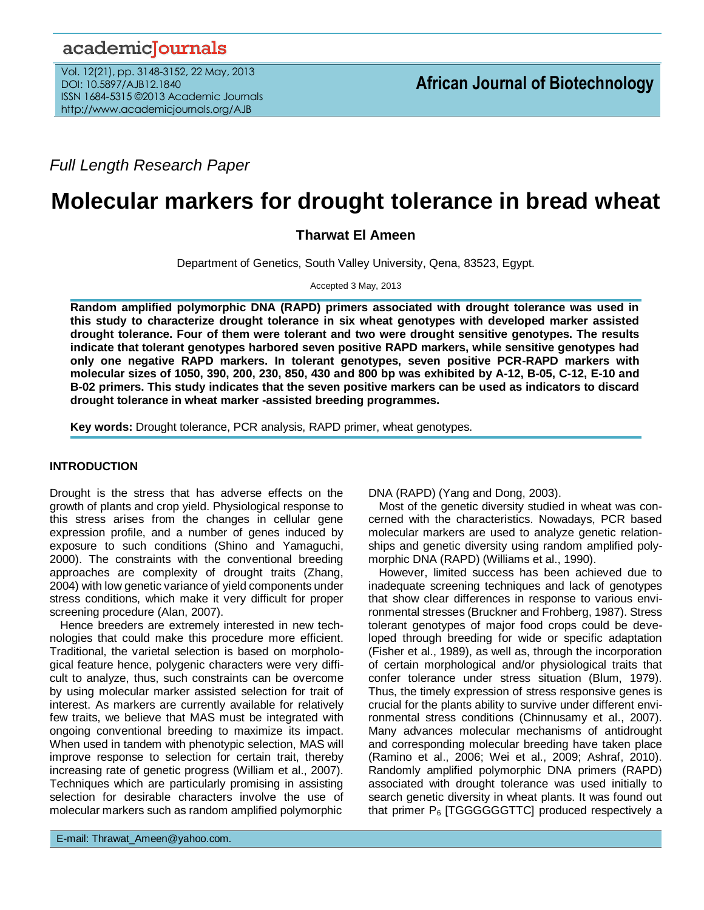# academicJournals

Vol. 12(21), pp. 3148-3152, 22 May, 2013 DOI: 10.5897/AJB12.1840 ISSN 1684-5315 ©2013 Academic Journals http://www.academicjournals.org/AJB

*Full Length Research Paper*

# **Molecular markers for drought tolerance in bread wheat**

**Tharwat El Ameen**

Department of Genetics, South Valley University, Qena, 83523, Egypt.

Accepted 3 May, 2013

**Random amplified polymorphic DNA (RAPD) primers associated with drought tolerance was used in this study to characterize drought tolerance in six wheat genotypes with developed marker assisted drought tolerance. Four of them were tolerant and two were drought sensitive genotypes. The results indicate that tolerant genotypes harbored seven positive RAPD markers, while sensitive genotypes had only one negative RAPD markers. In tolerant genotypes, seven positive PCR-RAPD markers with molecular sizes of 1050, 390, 200, 230, 850, 430 and 800 bp was exhibited by A-12, B-05, C-12, E-10 and B-02 primers. This study indicates that the seven positive markers can be used as indicators to discard drought tolerance in wheat marker -assisted breeding programmes.** 

**Key words:** Drought tolerance, PCR analysis, RAPD primer, wheat genotypes.

# **INTRODUCTION**

Drought is the stress that has adverse effects on the growth of plants and crop yield. Physiological response to this stress arises from the changes in cellular gene expression profile, and a number of genes induced by exposure to such conditions (Shino and Yamaguchi, 2000). The constraints with the conventional breeding approaches are complexity of drought traits (Zhang, 2004) with low genetic variance of yield components under stress conditions, which make it very difficult for proper screening procedure (Alan, 2007).

Hence breeders are extremely interested in new technologies that could make this procedure more efficient. Traditional, the varietal selection is based on morphological feature hence, polygenic characters were very difficult to analyze, thus, such constraints can be overcome by using molecular marker assisted selection for trait of interest. As markers are currently available for relatively few traits, we believe that MAS must be integrated with ongoing conventional breeding to maximize its impact. When used in tandem with phenotypic selection, MAS will improve response to selection for certain trait, thereby increasing rate of genetic progress (William et al., 2007). Techniques which are particularly promising in assisting selection for desirable characters involve the use of molecular markers such as random amplified polymorphic

E-mail: Thrawat\_Ameen@yahoo.com.

DNA (RAPD) (Yang and Dong, 2003).

Most of the genetic diversity studied in wheat was concerned with the characteristics. Nowadays, PCR based molecular markers are used to analyze genetic relationships and genetic diversity using random amplified polymorphic DNA (RAPD) (Williams et al., 1990).

However, limited success has been achieved due to inadequate screening techniques and lack of genotypes that show clear differences in response to various environmental stresses (Bruckner and Frohberg, 1987). Stress tolerant genotypes of major food crops could be developed through breeding for wide or specific adaptation (Fisher et al., 1989), as well as, through the incorporation of certain morphological and/or physiological traits that confer tolerance under stress situation (Blum, 1979). Thus, the timely expression of stress responsive genes is crucial for the plants ability to survive under different environmental stress conditions (Chinnusamy et al., 2007). Many advances molecular mechanisms of antidrought and corresponding molecular breeding have taken place (Ramino et al., 2006; Wei et al., 2009; Ashraf, 2010). Randomly amplified polymorphic DNA primers (RAPD) associated with drought tolerance was used initially to search genetic diversity in wheat plants. It was found out that primer  $P_6$  [TGGGGGGTTC] produced respectively a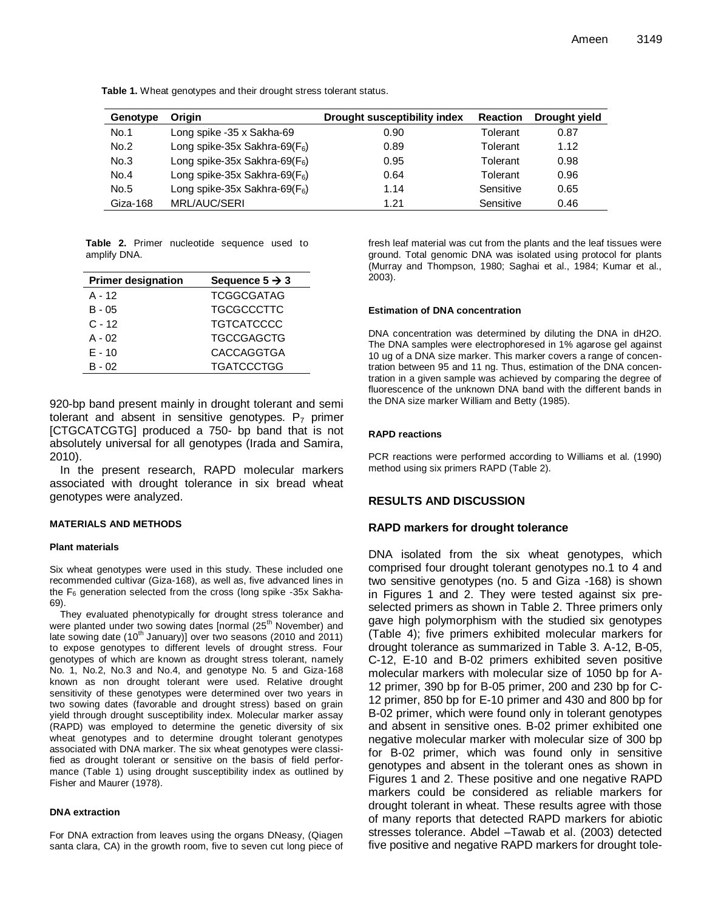| Genotype | Origin                            | Drought susceptibility index | <b>Reaction</b> | Drought yield |
|----------|-----------------------------------|------------------------------|-----------------|---------------|
| No.1     | Long spike -35 x Sakha-69         | 0.90                         | Tolerant        | 0.87          |
| No.2     | Long spike-35x Sakhra-69( $F_6$ ) | 0.89                         | Tolerant        | 1.12          |
| No.3     | Long spike-35x Sakhra-69( $F_6$ ) | 0.95                         | Tolerant        | 0.98          |
| No.4     | Long spike-35x Sakhra-69( $F_6$ ) | 0.64                         | Tolerant        | 0.96          |
| No.5     | Long spike-35x Sakhra-69( $F_6$ ) | 1.14                         | Sensitive       | 0.65          |
| Giza-168 | MRL/AUC/SERI                      | 1.21                         | Sensitive       | 0.46          |

**Table 1.** Wheat genotypes and their drought stress tolerant status.

**Table 2.** Primer nucleotide sequence used to amplify DNA.

| <b>Primer designation</b> | Sequence $5 \rightarrow 3$ |
|---------------------------|----------------------------|
| $A - 12$                  | <b>TCGGCGATAG</b>          |
| $B - 05$                  | <b>TGCGCCCTTC</b>          |
| $C - 12$                  | <b>TGTCATCCCC</b>          |
| $A - 02$                  | <b>TGCCGAGCTG</b>          |
| $E - 10$                  | <b>CACCAGGTGA</b>          |
| $B - 02$                  | <b>TGATCCCTGG</b>          |

920-bp band present mainly in drought tolerant and semi tolerant and absent in sensitive genotypes.  $P_7$  primer [CTGCATCGTG] produced a 750- bp band that is not absolutely universal for all genotypes (Irada and Samira, 2010).

In the present research, RAPD molecular markers associated with drought tolerance in six bread wheat genotypes were analyzed.

#### **MATERIALS AND METHODS**

#### **Plant materials**

Six wheat genotypes were used in this study. These included one recommended cultivar (Giza-168), as well as, five advanced lines in the  $F_6$  generation selected from the cross (long spike -35x Sakha-69).

They evaluated phenotypically for drought stress tolerance and were planted under two sowing dates [normal (25<sup>th</sup> November) and late sowing date  $(10^{th}$  January)] over two seasons (2010 and 2011) to expose genotypes to different levels of drought stress. Four genotypes of which are known as drought stress tolerant, namely No. 1, No.2, No.3 and No.4, and genotype No. 5 and Giza-168 known as non drought tolerant were used. Relative drought sensitivity of these genotypes were determined over two years in two sowing dates (favorable and drought stress) based on grain yield through drought susceptibility index. Molecular marker assay (RAPD) was employed to determine the genetic diversity of six wheat genotypes and to determine drought tolerant genotypes associated with DNA marker. The six wheat genotypes were classified as drought tolerant or sensitive on the basis of field performance (Table 1) using drought susceptibility index as outlined by Fisher and Maurer (1978).

#### **DNA extraction**

For DNA extraction from leaves using the organs DNeasy, (Qiagen santa clara, CA) in the growth room, five to seven cut long piece of fresh leaf material was cut from the plants and the leaf tissues were ground. Total genomic DNA was isolated using protocol for plants (Murray and Thompson, 1980; Saghai et al., 1984; Kumar et al., 2003).

#### **Estimation of DNA concentration**

DNA concentration was determined by diluting the DNA in dH2O. The DNA samples were electrophoresed in 1% agarose gel against 10 ug of a DNA size marker. This marker covers a range of concentration between 95 and 11 ng. Thus, estimation of the DNA concentration in a given sample was achieved by comparing the degree of fluorescence of the unknown DNA band with the different bands in the DNA size marker William and Betty (1985).

#### **RAPD reactions**

PCR reactions were performed according to Williams et al. (1990) method using six primers RAPD (Table 2).

# **RESULTS AND DISCUSSION**

# **RAPD markers for drought tolerance**

DNA isolated from the six wheat genotypes, which comprised four drought tolerant genotypes no.1 to 4 and two sensitive genotypes (no. 5 and Giza -168) is shown in Figures 1 and 2. They were tested against six preselected primers as shown in Table 2. Three primers only gave high polymorphism with the studied six genotypes (Table 4); five primers exhibited molecular markers for drought tolerance as summarized in Table 3. A-12, B-05, C-12, E-10 and B-02 primers exhibited seven positive molecular markers with molecular size of 1050 bp for A-12 primer, 390 bp for B-05 primer, 200 and 230 bp for C-12 primer, 850 bp for E-10 primer and 430 and 800 bp for B-02 primer, which were found only in tolerant genotypes and absent in sensitive ones. B-02 primer exhibited one negative molecular marker with molecular size of 300 bp for B-02 primer, which was found only in sensitive genotypes and absent in the tolerant ones as shown in Figures 1 and 2. These positive and one negative RAPD markers could be considered as reliable markers for drought tolerant in wheat. These results agree with those of many reports that detected RAPD markers for abiotic stresses tolerance. Abdel –Tawab et al. (2003) detected five positive and negative RAPD markers for drought tole-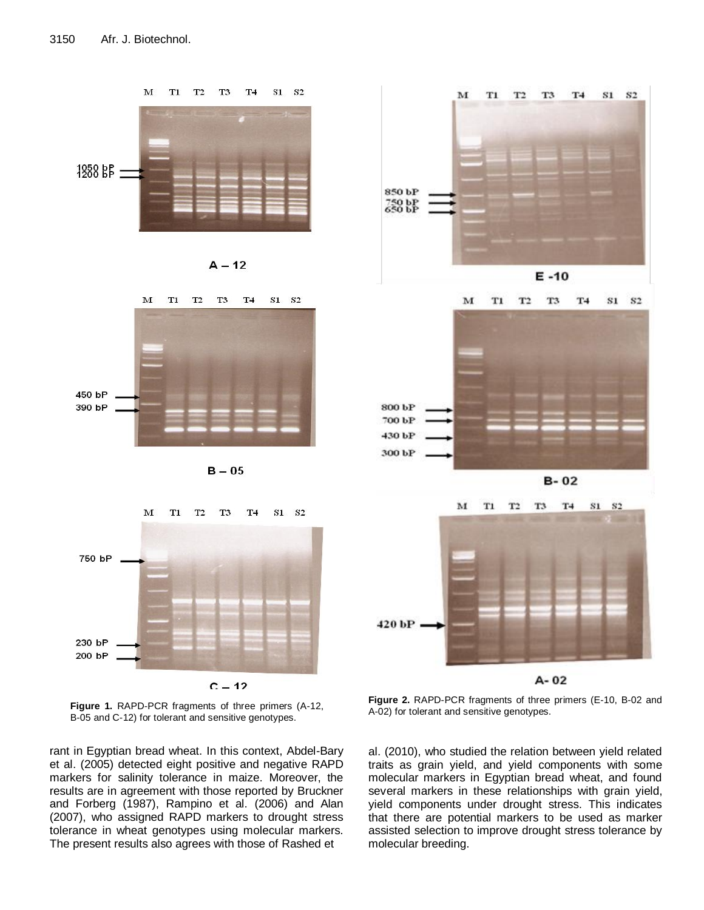











rant in Egyptian bread wheat. In this context, Abdel-Bary al. (2010), who et al. (2005) detected eight positive and negative RAPD traits markers for salinity tolerance in maize. Moreover, the results are in agreement with those reported by Bruckner and Forberg (1987), Rampino et al. (2006) and Alan (2007), who assigned RAPD markers to drought stress tolerance in wheat genotypes using molecular markers. The present results also agrees with those of Rashed et







**Figure 2.** RAPD-PCR fragments of three primers (E-10, B-02 and A-02) for tolerant and sensitive genotypes.

al. (2010), who studied the relation between yield related traits as grain yield, and yield components with some molecular markers in Egyptian bread wheat, and found several markers in these relationships with grain yield, yield components under drought stress. This indicates that there are potential markers to be used as marker assisted selection to improve drought stress tolerance by molecular breeding.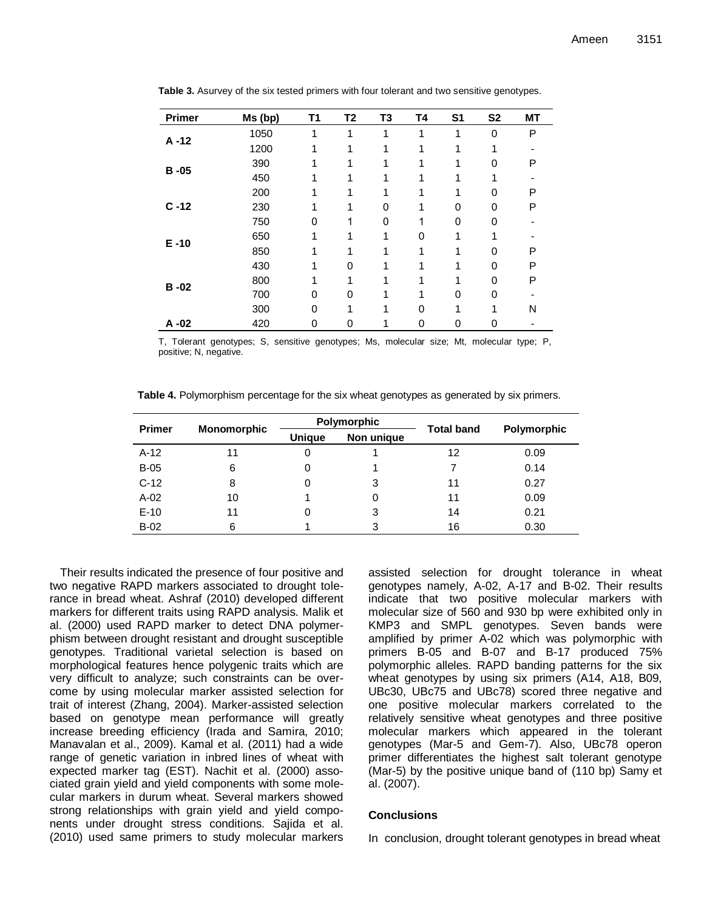| <b>Primer</b> | Ms (bp) | T1 | T <sub>2</sub> | T <sub>3</sub> | <b>T4</b> | S <sub>1</sub> | <b>S2</b>    | <b>MT</b> |
|---------------|---------|----|----------------|----------------|-----------|----------------|--------------|-----------|
| $A - 12$      | 1050    | 1  | 1              | 1              | 1         | 1              | $\mathbf{0}$ | P         |
|               | 1200    |    |                |                |           |                | 1            |           |
|               | 390     |    |                |                |           |                | 0            | P         |
| $B - 05$      | 450     |    |                |                |           |                |              |           |
|               | 200     |    |                |                |           |                | $\Omega$     | P         |
| $C - 12$      | 230     |    |                | 0              |           | 0              | 0            | P         |
|               | 750     | O  |                | 0              |           | O              | 0            |           |
| $E - 10$      | 650     |    |                |                | 0         |                |              |           |
|               | 850     |    |                |                |           |                | $\Omega$     | P         |
|               | 430     |    | 0              |                |           |                | 0            | P         |
| $B - 02$      | 800     | 1  |                |                |           |                | $\Omega$     | P         |
|               | 700     | 0  | 0              |                |           | 0              | 0            |           |
|               | 300     | 0  |                |                | 0         |                |              | Ν         |
| $A - 02$      | 420     | 0  | 0              |                | 0         | 0              | 0            |           |

**Table 3.** Asurvey of the six tested primers with four tolerant and two sensitive genotypes.

T, Tolerant genotypes; S, sensitive genotypes; Ms, molecular size; Mt, molecular type; P, positive; N, negative.

**Table 4.** Polymorphism percentage for the six wheat genotypes as generated by six primers.

| <b>Primer</b> | <b>Monomorphic</b> |               | Polymorphic | <b>Total band</b> | Polymorphic |  |
|---------------|--------------------|---------------|-------------|-------------------|-------------|--|
|               |                    | <b>Unique</b> | Non unique  |                   |             |  |
| $A-12$        | 11                 | 0             |             | 12                | 0.09        |  |
| $B-05$        | 6                  | 0             |             |                   | 0.14        |  |
| $C-12$        | 8                  | 0             | 3           | 11                | 0.27        |  |
| $A-02$        | 10                 |               | 0           | 11                | 0.09        |  |
| $E-10$        | 11                 | 0             | 3           | 14                | 0.21        |  |
| $B-02$        | 6                  |               | 3           | 16                | 0.30        |  |

Their results indicated the presence of four positive and two negative RAPD markers associated to drought tolerance in bread wheat. Ashraf (2010) developed different markers for different traits using RAPD analysis. Malik et al. (2000) used RAPD marker to detect DNA polymerphism between drought resistant and drought susceptible genotypes. Traditional varietal selection is based on morphological features hence polygenic traits which are very difficult to analyze; such constraints can be overcome by using molecular marker assisted selection for trait of interest (Zhang, 2004). Marker-assisted selection based on genotype mean performance will greatly increase breeding efficiency (Irada and Samira, 2010; Manavalan et al., 2009). Kamal et al. (2011) had a wide range of genetic variation in inbred lines of wheat with expected marker tag (EST). Nachit et al. (2000) associated grain yield and yield components with some molecular markers in durum wheat. Several markers showed strong relationships with grain yield and yield components under drought stress conditions. Sajida et al. (2010) used same primers to study molecular markers assisted selection for drought tolerance in wheat genotypes namely, A-02, A-17 and B-02. Their results indicate that two positive molecular markers with molecular size of 560 and 930 bp were exhibited only in KMP3 and SMPL genotypes. Seven bands were amplified by primer A-02 which was polymorphic with primers B-05 and B-07 and B-17 produced 75% polymorphic alleles. RAPD banding patterns for the six wheat genotypes by using six primers (A14, A18, B09, UBc30, UBc75 and UBc78) scored three negative and one positive molecular markers correlated to the relatively sensitive wheat genotypes and three positive molecular markers which appeared in the tolerant genotypes (Mar-5 and Gem-7). Also, UBc78 operon primer differentiates the highest salt tolerant genotype (Mar-5) by the positive unique band of (110 bp) Samy et al. (2007).

#### **Conclusions**

In conclusion, drought tolerant genotypes in bread wheat